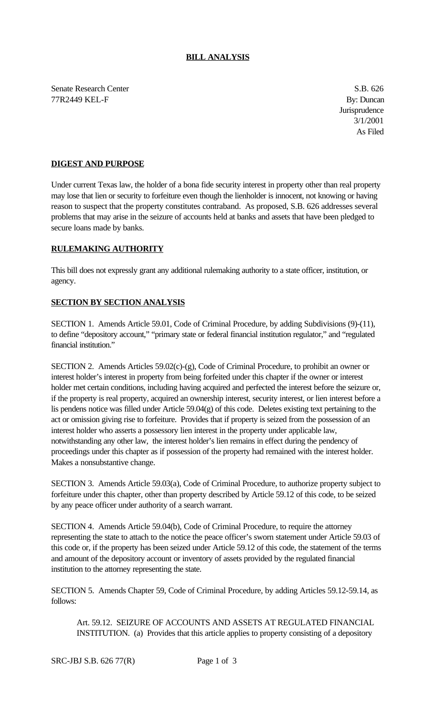## **BILL ANALYSIS**

Senate Research Center S.B. 626 77R2449 KEL-F By: Duncan

**Jurisprudence** 3/1/2001 As Filed

## **DIGEST AND PURPOSE**

Under current Texas law, the holder of a bona fide security interest in property other than real property may lose that lien or security to forfeiture even though the lienholder is innocent, not knowing or having reason to suspect that the property constitutes contraband. As proposed, S.B. 626 addresses several problems that may arise in the seizure of accounts held at banks and assets that have been pledged to secure loans made by banks.

## **RULEMAKING AUTHORITY**

This bill does not expressly grant any additional rulemaking authority to a state officer, institution, or agency.

## **SECTION BY SECTION ANALYSIS**

SECTION 1. Amends Article 59.01, Code of Criminal Procedure, by adding Subdivisions (9)-(11), to define "depository account," "primary state or federal financial institution regulator," and "regulated financial institution."

SECTION 2. Amends Articles 59.02(c)-(g), Code of Criminal Procedure, to prohibit an owner or interest holder's interest in property from being forfeited under this chapter if the owner or interest holder met certain conditions, including having acquired and perfected the interest before the seizure or, if the property is real property, acquired an ownership interest, security interest, or lien interest before a lis pendens notice was filled under Article 59.04(g) of this code. Deletes existing text pertaining to the act or omission giving rise to forfeiture. Provides that if property is seized from the possession of an interest holder who asserts a possessory lien interest in the property under applicable law, notwithstanding any other law, the interest holder's lien remains in effect during the pendency of proceedings under this chapter as if possession of the property had remained with the interest holder. Makes a nonsubstantive change.

SECTION 3. Amends Article 59.03(a), Code of Criminal Procedure, to authorize property subject to forfeiture under this chapter, other than property described by Article 59.12 of this code, to be seized by any peace officer under authority of a search warrant.

SECTION 4. Amends Article 59.04(b), Code of Criminal Procedure, to require the attorney representing the state to attach to the notice the peace officer's sworn statement under Article 59.03 of this code or, if the property has been seized under Article 59.12 of this code, the statement of the terms and amount of the depository account or inventory of assets provided by the regulated financial institution to the attorney representing the state.

SECTION 5. Amends Chapter 59, Code of Criminal Procedure, by adding Articles 59.12-59.14, as follows:

Art. 59.12. SEIZURE OF ACCOUNTS AND ASSETS AT REGULATED FINANCIAL INSTITUTION. (a) Provides that this article applies to property consisting of a depository

SRC-JBJ S.B. 626 77(R) Page 1 of 3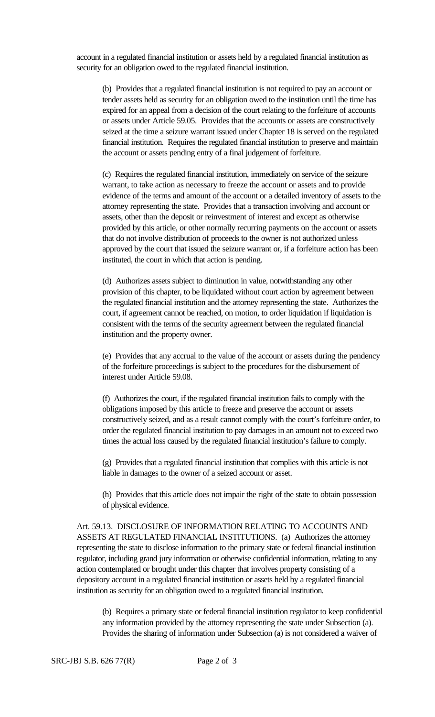account in a regulated financial institution or assets held by a regulated financial institution as security for an obligation owed to the regulated financial institution.

(b) Provides that a regulated financial institution is not required to pay an account or tender assets held as security for an obligation owed to the institution until the time has expired for an appeal from a decision of the court relating to the forfeiture of accounts or assets under Article 59.05. Provides that the accounts or assets are constructively seized at the time a seizure warrant issued under Chapter 18 is served on the regulated financial institution. Requires the regulated financial institution to preserve and maintain the account or assets pending entry of a final judgement of forfeiture.

(c) Requires the regulated financial institution, immediately on service of the seizure warrant, to take action as necessary to freeze the account or assets and to provide evidence of the terms and amount of the account or a detailed inventory of assets to the attorney representing the state. Provides that a transaction involving and account or assets, other than the deposit or reinvestment of interest and except as otherwise provided by this article, or other normally recurring payments on the account or assets that do not involve distribution of proceeds to the owner is not authorized unless approved by the court that issued the seizure warrant or, if a forfeiture action has been instituted, the court in which that action is pending.

(d) Authorizes assets subject to diminution in value, notwithstanding any other provision of this chapter, to be liquidated without court action by agreement between the regulated financial institution and the attorney representing the state. Authorizes the court, if agreement cannot be reached, on motion, to order liquidation if liquidation is consistent with the terms of the security agreement between the regulated financial institution and the property owner.

(e) Provides that any accrual to the value of the account or assets during the pendency of the forfeiture proceedings is subject to the procedures for the disbursement of interest under Article 59.08.

(f) Authorizes the court, if the regulated financial institution fails to comply with the obligations imposed by this article to freeze and preserve the account or assets constructively seized, and as a result cannot comply with the court's forfeiture order, to order the regulated financial institution to pay damages in an amount not to exceed two times the actual loss caused by the regulated financial institution's failure to comply.

(g) Provides that a regulated financial institution that complies with this article is not liable in damages to the owner of a seized account or asset.

(h) Provides that this article does not impair the right of the state to obtain possession of physical evidence.

Art. 59.13. DISCLOSURE OF INFORMATION RELATING TO ACCOUNTS AND ASSETS AT REGULATED FINANCIAL INSTITUTIONS. (a) Authorizes the attorney representing the state to disclose information to the primary state or federal financial institution regulator, including grand jury information or otherwise confidential information, relating to any action contemplated or brought under this chapter that involves property consisting of a depository account in a regulated financial institution or assets held by a regulated financial institution as security for an obligation owed to a regulated financial institution.

(b) Requires a primary state or federal financial institution regulator to keep confidential any information provided by the attorney representing the state under Subsection (a). Provides the sharing of information under Subsection (a) is not considered a waiver of